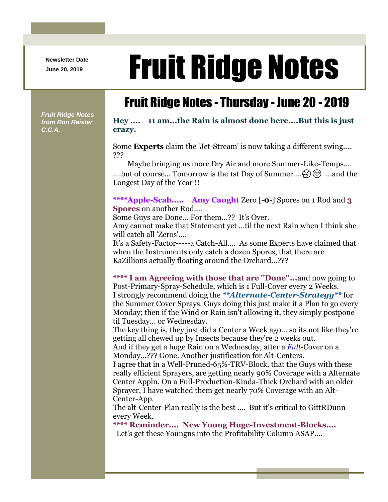**Newsletter Date**

## Newsletter Date **Fruit Ridge Notes**

## Fruit Ridge Notes - Thursday - June 20 - 2019

*Fruit Ridge Notes from Ron Reister C.C.A.*

## **Hey .... 11 am...the Rain is almost done here....But this is just crazy.**

Some **Experts** claim the 'Jet-Stream' is now taking a different swing.... ???

Maybe bringing us more Dry Air and more Summer-Like-Temps.... ....but of course... Tomorrow is the 1st Day of Summer....  $\mathfrak{S} \otimes$  ...and the Longest Day of the Year !!

**\*\*\*\*Apple-Scab..... Amy Caught** Zero [-**0**-] Spores on 1 Rod and **3 Spores** on another Rod....

Some Guys are Done... For them...?? It's Over.

Amy cannot make that Statement yet ...til the next Rain when I think she will catch all 'Zeros'....

It's a Safety-Factor-----a Catch-All.... As some Experts have claimed that when the Instruments only catch a dozen Spores, that there are KaZillions actually floating around the Orchard...???

**\*\*\*\* I am Agreeing with those that are ''Done''...**and now going to Post-Primary-Spray-Schedule, which is 1 Full-Cover every 2 Weeks. I strongly recommend doing the *\*\*Alternate-Center-Strategy\*\** for the Summer Cover Sprays. Guys doing this just make it a Plan to go every Monday; then if the Wind or Rain isn't allowing it, they simply postpone til Tuesday... or Wednesday.

The key thing is, they just did a Center a Week ago... so its not like they're getting all chewed up by Insects because they're 2 weeks out.

And if they get a huge Rain on a Wednesday, after a *Full*-Cover on a Monday...??? Gone. Another justification for Alt-Centers.

I agree that in a Well-Pruned-65%-TRV-Block, that the Guys with these really efficient Sprayers, are getting nearly 90% Coverage with a Alternate Center Appln. On a Full-Production-Kinda-Thick Orchard with an older Sprayer, I have watched them get nearly 70% Coverage with an Alt-Center-App.

The alt-Center-Plan really is the best .... But it's critical to GittRDunn every Week.

**\*\*\*\* Reminder.... New Young Huge-Investment-Blocks....**

Let's get these Youngns into the Profitability Column ASAP....